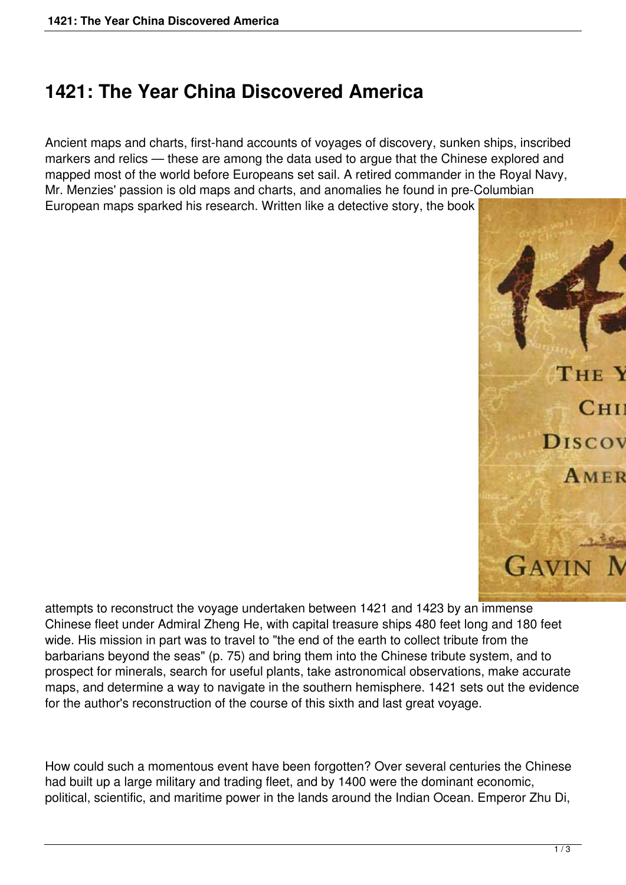## **1421: The Year China Discovered America**

Ancient maps and charts, first-hand accounts of voyages of discovery, sunken ships, inscribed markers and relics — these are among the data used to argue that the Chinese explored and mapped most of the world before Europeans set sail. A retired commander in the Royal Navy, Mr. Menzies' passion is old maps and charts, and anomalies he found in pre-Columbian European maps sparked his research. Written like a detective story, the book



attempts to reconstruct the voyage undertaken between 1421 and 1423 by an immense Chinese fleet under Admiral Zheng He, with capital treasure ships 480 feet long and 180 feet wide. His mission in part was to travel to "the end of the earth to collect tribute from the barbarians beyond the seas" (p. 75) and bring them into the Chinese tribute system, and to prospect for minerals, search for useful plants, take astronomical observations, make accurate maps, and determine a way to navigate in the southern hemisphere. 1421 sets out the evidence for the author's reconstruction of the course of this sixth and last great voyage.

How could such a momentous event have been forgotten? Over several centuries the Chinese had built up a large military and trading fleet, and by 1400 were the dominant economic, political, scientific, and maritime power in the lands around the Indian Ocean. Emperor Zhu Di,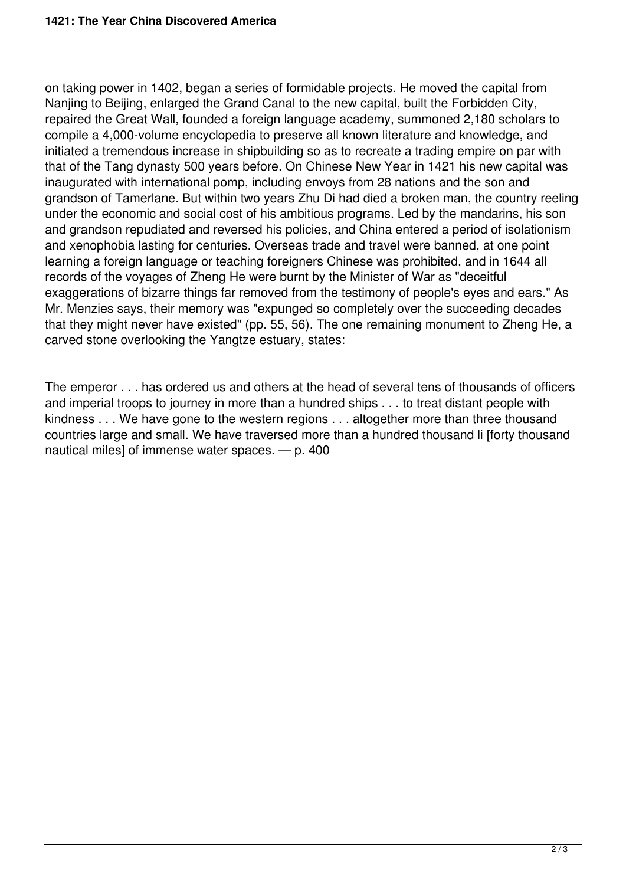on taking power in 1402, began a series of formidable projects. He moved the capital from Nanjing to Beijing, enlarged the Grand Canal to the new capital, built the Forbidden City, repaired the Great Wall, founded a foreign language academy, summoned 2,180 scholars to compile a 4,000-volume encyclopedia to preserve all known literature and knowledge, and initiated a tremendous increase in shipbuilding so as to recreate a trading empire on par with that of the Tang dynasty 500 years before. On Chinese New Year in 1421 his new capital was inaugurated with international pomp, including envoys from 28 nations and the son and grandson of Tamerlane. But within two years Zhu Di had died a broken man, the country reeling under the economic and social cost of his ambitious programs. Led by the mandarins, his son and grandson repudiated and reversed his policies, and China entered a period of isolationism and xenophobia lasting for centuries. Overseas trade and travel were banned, at one point learning a foreign language or teaching foreigners Chinese was prohibited, and in 1644 all records of the voyages of Zheng He were burnt by the Minister of War as "deceitful exaggerations of bizarre things far removed from the testimony of people's eyes and ears." As Mr. Menzies says, their memory was "expunged so completely over the succeeding decades that they might never have existed" (pp. 55, 56). The one remaining monument to Zheng He, a carved stone overlooking the Yangtze estuary, states:

The emperor . . . has ordered us and others at the head of several tens of thousands of officers and imperial troops to journey in more than a hundred ships . . . to treat distant people with kindness . . . We have gone to the western regions . . . altogether more than three thousand countries large and small. We have traversed more than a hundred thousand li [forty thousand nautical miles] of immense water spaces. — p. 400